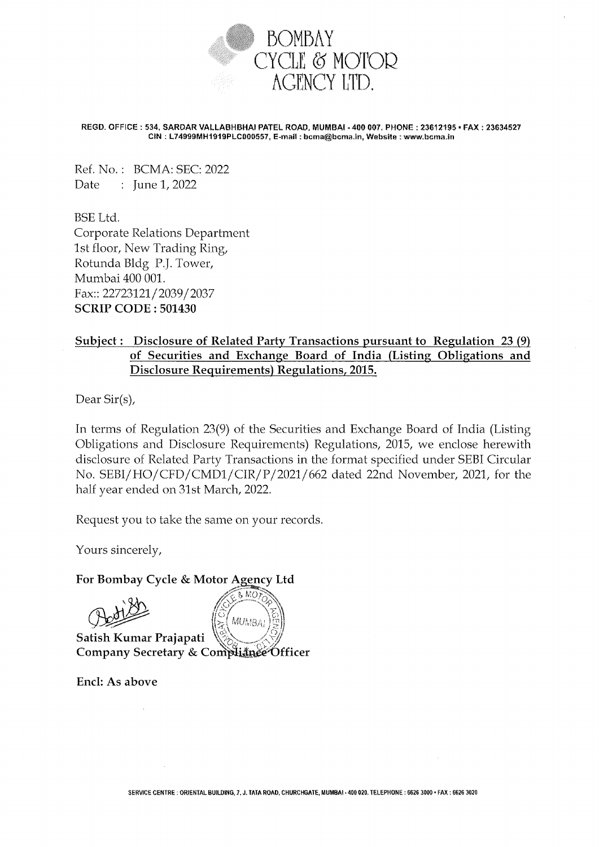

REGD. OFFICE: 534, SARDAR VALLABHBHAI PATEL ROAD, MUMBAI - 400 007. PHONE: 23612195 • FAX: 23634527 CIN: L74999MH1919PLC000557, E-mail: bcma@bcma.in, Website: www.bcma.in

Ref. No.: BCMA: SEC: 2022 Date  $\therefore$  June 1, 2022

BSE Ltd. Corporate Relations Department 1st floor, New Trading Ring, Rotunda Bldg P.J. Tower, Mumbai 400 001. Fax:: 22723121/2039/2037 SCRIP CODE: 501430

## Subject: Disclosure of Related Party Transactions pursuant to Regulation 23 (9) of Securities and Exchange Board of India (Listing Obligations and Disclosure Requirements) Regulations, 2015.

Dear Sir(s),

In terms of Regulation 23(9) of the Securities and Exchange Board of India (Listing Obligations and Disclosure Requirements) Regulations, 2015, we enclose herewith disclosure of Related Party Transactions in the format specified under SEBI Circular No. SEBI/HO/CFD/CMD1/CIR/P/2021/662 dated 22nd November, 2021, for the half year ended on 31st March, 2022.

Request you to take the same on your records.

Yours sincerely,

## For Bombay Cycle & Motor Agency Ltd

 $8 MOY$ **MUMBAI** 

Satish Kumar Prajapati Company Secretary & Compliance Officer

End: As above